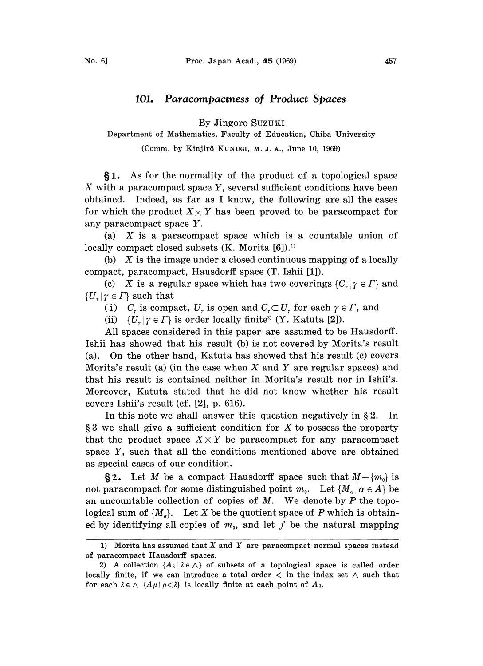## 101. Paracompactness of Product Spaces

By Jingoro SuzuKI

Department of Mathematics, Faculty of Education, Chiba University

(Comm. by Kinjirô KUNUGI, M. J. A., June 10, 1969)

1. As for the normality of the product of a topological space  $X$  with a paracompact space  $Y$ , several sufficient conditions have been obtained. Indeed, as far as I know, the following are all the cases for which the product  $X \times Y$  has been proved to be paracompact for any paracompact space Y.

(a)  $X$  is a paracompact space which is a countable union of locally compact closed subsets  $(K.$  Morita  $[6]$ ).<sup>1)</sup>

(b)  $X$  is the image under a closed continuous mapping of a locally compact, paracompact, Hausdorff space (T. Ishii [1]).

(c) X is a regular space which has two coverings  $\{C_n | \gamma \in \Gamma\}$  and  $\{U_{r} | r \in \Gamma\}$  such that

(i)  $C_r$  is compact,  $U_r$  is open and  $C_r \subset U_r$  for each  $\gamma \in \Gamma$ , and

(ii)  $\{U_r | \gamma \in \Gamma\}$  is order locally finite<sup>2</sup> (Y. Katuta [2]).

All spaces considered in this paper are assumed to be Hausdorff. Ishii has showed that his result (b) is not covered by Morita's result (a). On the other hand, Katuta has showed that his result (c) covers Morita's result (a) (in the case when X and Y are regular spaces) and that his result is contained neither in Morita's result nor in Ishii's. Moreover, Katuta stated that he did not know whether his result covers Ishii's result (cf. [2], p. 616).

In this note we shall answer this question negatively in  $\S 2$ . In  $\S 3$  we shall give a sufficient condition for X to possess the property that the product space  $X \times Y$  be paracompact for any paracompact space Y, such that all the conditions mentioned above are obtained as special cases of our condition.

§2. Let M be a compact Hausdorff space such that  $M-\{m_0\}$  is not paracompact for some distinguished point  $m_0$ . Let  $\{M_\alpha | \alpha \in A\}$  be an uncountable collection of copies of  $M$ . We denote by  $P$  the topological sum of  $\{M_{\alpha}\}.$  Let X be the quotient space of P which is obtained by identifying all copies of  $m_0$ , and let f be the natural mapping

<sup>1)</sup> Morita has assumed that  $X$  and  $Y$  are paracompact normal spaces instead of paracompact Hausdorff spaces.

<sup>2)</sup> A collection  $\{A_{\lambda} | \lambda \in \Lambda\}$  of subsets of a topological space is called order locally finite, if we can introduce a total order  $\langle$  in the index set  $\wedge$  such that for each  $\lambda \in \Lambda$  { $A\mu | \mu < \lambda$ } is locally finite at each point of  $A_{\lambda}$ .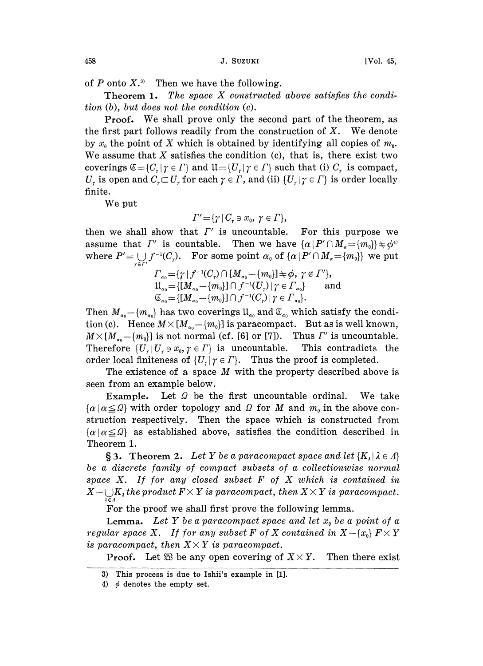of  $P$  onto  $X$ <sup>3)</sup> Then we have the following.

Theorem 1. The space X constructed above satisfies the condition (b), but does not the condition (c).

Proof. We shall prove only the second part of the theorem, as the first part follows readily from the construction of  $X$ . We denote by  $x_0$  the point of X which is obtained by identifying all copies of  $m_0$ . We assume that  $X$  satisfies the condition (c), that is, there exist two coverings  $\mathfrak{C} = \{C_r | \gamma \in \Gamma \}$  and  $\mathfrak{U} = \{U_r | \gamma \in \Gamma \}$  such that (i)  $C_r$  is compact,  $U_r$  is open and  $C_r \subset U_r$  for each  $\gamma \in \Gamma$ , and (ii)  $\{U_r | \gamma \in \Gamma\}$  is order locally<br>finite.<br>We put finite.

We put

$$
\Gamma' = \{ \gamma \mid C_r \ni x_0, \ \gamma \in \Gamma \},
$$

then we shall show that  $\Gamma'$  is uncountable. For this purpose we assume that  $\Gamma'$  is countable. Then we have  $\{\alpha \mid P' \cap M_{\alpha} = \{m_0\}\}\neq \phi^4$ where  $P' = \bigcup_{\alpha \in \mathbb{Z}} f^{-1}(C_{\gamma}).$  For some point  $\alpha_0$  of  $\{\alpha \mid P' \cap M_{\alpha} = \{m_0\}\}\)$  we put

$$
F_{\alpha_0} = \{ \gamma \mid f^{-1}(C_{\gamma}) \cap [M_{\alpha_0} - \{m_0\}] \Rightarrow \phi, \ \gamma \in \Gamma' \},
$$
  
\n
$$
\mathfrak{U}_{\alpha_0} = \{ [M_{\alpha_0} - \{m_0\}] \cap f^{-1}(U_{\gamma}) \mid \gamma \in \Gamma_{\alpha_0} \} \quad \text{and}
$$
  
\n
$$
\mathfrak{C}_{\alpha_0} = \{ [M_{\alpha_0} - \{m_0\}] \cap f^{-1}(C_{\gamma}) \mid \gamma \in \Gamma_{\alpha_0} \}.
$$

Then  $M_{\alpha_0} - \{m_{\alpha_0}\}$  has two coverings  $\mathbb{1}_{\alpha_0}$  and  $\mathbb{C}_{\alpha_0}$  which satisfy the condition (c). Hence  $M \times [M_{\alpha_0} - \{m_0\}]$  is paracompact. But as is well known, tion (c). Hence  $M \times [M_{\alpha_0} - \{m_0\}]$  is paracompact. But as is well known,  $M \times [M_{\alpha_0} - \{m_0\}]$  is not normal (cf. [6] or [7]). Thus  $\Gamma'$  is uncountable.<br>Therefore  $\{U_\tau | U_\tau \ni x_0, \gamma \in \Gamma\}$  is uncountable. This contrad Therefore  $\{U_r | U_r \ni x_0, \gamma \in \Gamma\}$  is uncountable. order local finiteness of  $\{U_r | \gamma \in \Gamma\}$ . Thus the proof is completed.

The existence of a space M with the property described above is seen from an example below.

Example. Let  $\Omega$  be the first uncountable ordinal. We take  $\{\alpha \mid \alpha \leq \Omega\}$  with order topology and  $\Omega$  for M and  $m_0$  in the above construction respectively. Then the space which is constructed from  $\{\alpha | \alpha \leq \Omega\}$  as established above, satisfies the condition described in Theorem 1.

**§3.** Theorem 2. Let Y be a paracompact space and let  $\{K_i | \lambda \in \Lambda\}$ be a discrete family of compact subsets of a collectionwise normal space  $X$ . If for any closed subset  $F$  of  $X$  which is contained in  $X-\bigcup_{\lambda\in A}K_{\lambda}$  the product  $F\times Y$  is paracompact, then  $X\times Y$  is paracompact.

For the proof we shall first prove the following lemma.

**Lemma.** Let Y be a paracompact space and let  $x_0$  be a point of a **Lemma.** Let Y be a paracompact space and let  $x_0$  be a point of a regular space X. If for any subset F of X contained in  $X-\{x_0\}$   $F\times Y$  $regular\ space\ X.\ \ If\ for\ any\ subset\ F\ of\ X\ is\ paracompact,\ then\ X\times Y\ is\ paracompact.$ is paracompact, then  $X \times Y$  is paracompact.<br>Proof. Let  $\mathfrak{B}$  be any open covering of  $X \times Y$ . Then there exist

<sup>3)</sup> This process is due to Ishii's example in [1].

<sup>4)</sup>  $\phi$  denotes the empty set.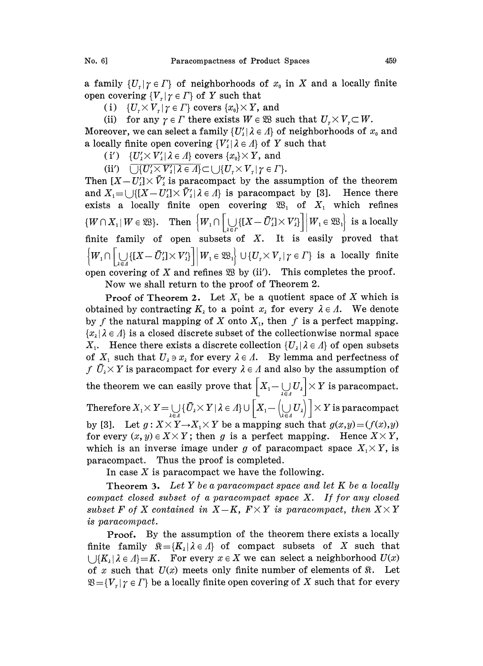a family  $\{U_r | r \in \Gamma\}$  of neighborhoods of  $x_0$  in X and a locally finite open covering  ${V_r | \gamma \in \Gamma}$  of Y such that

(i)  $\{U_r \times V_r | \gamma \in \Gamma\}$  covers  $\{x_0\} \times Y$ , and

(ii) for any  $\gamma \in \Gamma$  there exists  $W \in \mathfrak{W}$  such that  $U_{\gamma} \times V_{\gamma} \subset W$ .

Moreover, we can select a family  $\{U'_\lambda | \lambda \in \Lambda\}$  of neighborhoods of  $x_0$  and a locally finite open covering  $\{V'_{\ell} | \lambda \in A\}$  of Y such that

(i')  $\{U'_i \times V'_i | \lambda \in \Lambda\}$  covers  $\{x_0\} \times Y$ , and

(ii')  $\overline{\bigcup \{U'_i \times V'_i | \lambda \in A\}} \subset \bigcup \{U_r \times V_r | \gamma \in \Gamma\}.$ 

Then  $[X-U'_1] \times \bar{V}'_1$  is paracompact by the assumption of the theorem and  $X_1 = \cup \{ [X-U'] \times \bar{V}'_1 | \lambda \in \Lambda \}$  is paracompact by [3]. Hence there exists a locally finite open covering  $\mathfrak{B}_1$  of  $X_1$  which refines  $\{W \cap X_1 | W \in \mathfrak{W}\}\$ . Then  $\left\{W_1 \cap \left[\bigcup_{\lambda \in \Gamma} \{[X - \overline{U}_\lambda'] \times V_\lambda'\}\right] \middle| W_1 \in \mathfrak{W}_1\right\}$  is a locally finite family of open subsets of X. It is easily proved that  $\left\{W_1 \cap \left[\bigcup_{i=1}^N \{[X-\bar{U}_i']\times V_i'\}\right] \middle| W_1 \in \mathfrak{B}_1\right\} \cup \{U_i \times V_i | \gamma \in \Gamma\}$  is a locally finite open covering of X and refines  $\mathfrak{B}$  by (ii'). This completes the proof.

Now we shall return to the proof of Theorem 2.

**Proof of Theorem 2.** Let  $X_1$  be a quotient space of X which is obtained by contracting  $K_{\lambda}$  to a point  $x_{\lambda}$  for every  $\lambda \in \Lambda$ . We denote by f the natural mapping of X onto  $X<sub>1</sub>$ , then f is a perfect mapping.  ${x<sub>1</sub>}$  is a closed discrete subset of the collectionwise normal space  $X_1$ . Hence there exists a discrete collection  $\{U_\lambda | \lambda \in \Lambda\}$  of open subsets of  $X_1$  such that  $U_2 \ni x_2$  for every  $\lambda \in A$ . By lemma and perfectness of  $f \bar{U}_1 \times Y$  is paracompact for every  $\lambda \in A$  and also by the assumption of the theorem we can easily prove that  $\left[X_i-\bigcup_{i\in I} U_i\right]\times Y$  is paracompact. Therefore  $X_1 \times Y = \bigcup_{\lambda \in A} {\{\overline{U}_\lambda \times Y | \lambda \in A\}} \cup \left[ X_1 - \left( \bigcup_{\lambda \in A} U_\lambda \right) \right] \times Y$  is paracompact for every  $(x, y) \in X \times Y$ ; then g is a perfect mapping. Hence  $X \times Y$ ,  $X \leq X \leq X$  is paracompact<br> $X \leq Y \rightarrow X_1 \times Y$  be a mapping such that  $g(x,y)=(f(x),y)$ by [3]. Let  $g: X \times Y \rightarrow X_1 \times Y$  be a mapping such that  $g(x,y) = (f(x), y)$ <br>for every  $(x, y) \in X \times Y$ ; then g is a perfect mapping. Hence  $X \times Y$ , which is an inverse image under g of paracompact space  $X_1 \times Y$ , is paraeompaet. Thus the proof is completed.

In case  $X$  is paracompact we have the following.

**Theorem 3.** Let Y be a paracompact space and let K be a locally compact closed subset of a paracompact space X. If for any closed subset F of X contained in  $X-K$ ,  $F \times Y$  is paracompact, then  $X \times Y$ is paracompact.

Proof. By the assumption of the theorem there exists a locally finite family  $\mathbb{R} = \{K_1 | \lambda \in \Lambda\}$  of compact subsets of X such that  $\cup \{K_1 | \lambda \in \Lambda\} = K$ . For every  $x \in X$  we can select a neighborhood  $U(x)$ of x such that  $U(x)$  meets only finite number of elements of  $\Re$ . Let  $\mathfrak{B} = \{V_r | \gamma \in \Gamma\}$  be a locally finite open covering of X such that for every